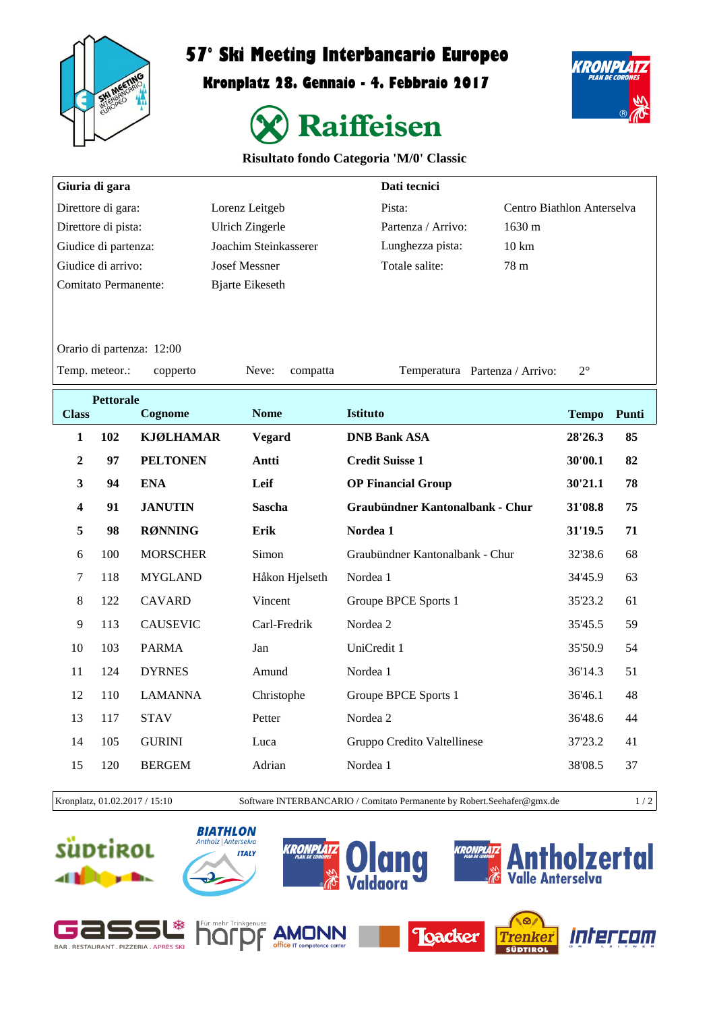

 $\sqrt{ }$ 

## **57° Ski Meeting Interbancario Europeo**

**Kronplatz 28. Gennaio - 4. Febbraio 2017**



KRONPL

## **Risultato fondo Categoria 'M/0' Classic**

| Dati tecnici<br>Giuria di gara |                  |                           |                        |                                     |              |                            |  |  |
|--------------------------------|------------------|---------------------------|------------------------|-------------------------------------|--------------|----------------------------|--|--|
| Direttore di gara:             |                  |                           | Lorenz Leitgeb         | Pista:                              |              | Centro Biathlon Anterselva |  |  |
| Direttore di pista:            |                  |                           | <b>Ulrich Zingerle</b> | 1630 m<br>Partenza / Arrivo:        |              |                            |  |  |
| Giudice di partenza:           |                  |                           | Joachim Steinkasserer  | Lunghezza pista:<br>$10 \text{ km}$ |              |                            |  |  |
| Giudice di arrivo:             |                  |                           | <b>Josef Messner</b>   | Totale salite:<br>78 m              |              |                            |  |  |
| <b>Comitato Permanente:</b>    |                  |                           | <b>Bjarte Eikeseth</b> |                                     |              |                            |  |  |
|                                |                  |                           |                        |                                     |              |                            |  |  |
|                                |                  | Orario di partenza: 12:00 |                        |                                     |              |                            |  |  |
| Temp. meteor.:                 |                  | copperto                  | Neve:<br>compatta      | Temperatura Partenza / Arrivo:      | $2^{\circ}$  |                            |  |  |
|                                | <b>Pettorale</b> |                           |                        |                                     |              |                            |  |  |
| <b>Class</b>                   |                  | Cognome                   | <b>Nome</b>            | <b>Istituto</b>                     | <b>Tempo</b> | Punti                      |  |  |
| $\mathbf{1}$                   | 102              | <b>KJØLHAMAR</b>          | <b>Vegard</b>          | <b>DNB Bank ASA</b>                 | 28'26.3      | 85                         |  |  |
| $\overline{2}$                 | 97               | <b>PELTONEN</b>           | Antti                  | <b>Credit Suisse 1</b>              | 30'00.1      | 82                         |  |  |
| 3                              | 94               | <b>ENA</b>                | Leif                   | <b>OP Financial Group</b>           | 30'21.1      | 78                         |  |  |
| $\overline{\mathbf{4}}$        | 91               | <b>JANUTIN</b>            | <b>Sascha</b>          | Graubündner Kantonalbank - Chur     | 31'08.8      | 75                         |  |  |
| 5                              | 98               | <b>RØNNING</b>            | Erik                   | Nordea 1                            | 31'19.5      | 71                         |  |  |
| 6                              | 100              | <b>MORSCHER</b>           | Simon                  | Graubündner Kantonalbank - Chur     | 32'38.6      | 68                         |  |  |
| $\tau$                         | 118              | <b>MYGLAND</b>            | Håkon Hjelseth         | Nordea 1                            | 34'45.9      | 63                         |  |  |
| 8                              | 122              | <b>CAVARD</b>             | Vincent                | Groupe BPCE Sports 1                | 35'23.2      | 61                         |  |  |
| 9                              | 113              | <b>CAUSEVIC</b>           | Carl-Fredrik           | Nordea 2                            | 35'45.5      | 59                         |  |  |
| 10                             | 103              | <b>PARMA</b>              | Jan                    | UniCredit 1                         | 35'50.9      | 54                         |  |  |
| 11                             | 124              | <b>DYRNES</b>             | Amund                  | Nordea 1                            | 36'14.3      | 51                         |  |  |
| 12                             | 110              | <b>LAMANNA</b>            | Christophe             | Groupe BPCE Sports 1                | 36'46.1      | 48                         |  |  |
| 13                             | 117              | <b>STAV</b>               | Petter                 | Nordea 2                            | 36'48.6      | 44                         |  |  |
| 14                             | 105              | <b>GURINI</b>             | Luca                   | Gruppo Credito Valtellinese         | 37'23.2      | 41                         |  |  |
| 15                             | 120              | <b>BERGEM</b>             | Adrian                 | Nordea 1                            | 38'08.5      | 37                         |  |  |

Kronplatz, 01.02.2017 / 15:10 Software INTERBANCARIO / Comitato Permanente by Robert.Seehafer@gmx.de 1 / 2